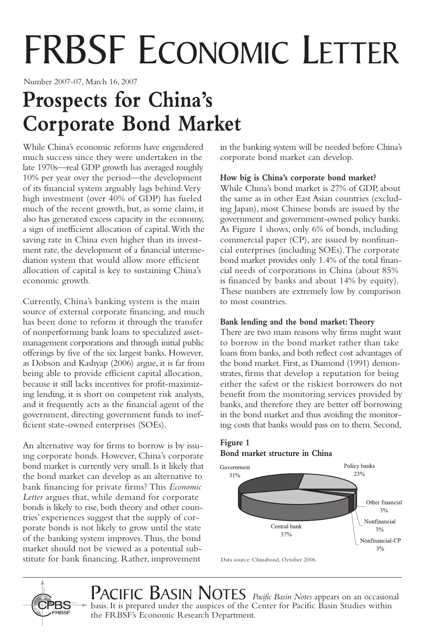# FRBSF ECONOMIC LETTER

Number 2007-07, March 16, 2007

# **Prospects for China's Corporate Bond Market**

While China's economic reforms have engendered much success since they were undertaken in the late 1970s—real GDP growth has averaged roughly 10% per year over the period—the development of its financial system arguably lags behind.Very high investment (over 40% of GDP) has fueled much of the recent growth, but, as some claim, it also has generated excess capacity in the economy, a sign of inefficient allocation of capital.With the saving rate in China even higher than its investment rate, the development of a financial intermediation system that would allow more efficient allocation of capital is key to sustaining China's economic growth.

Currently, China's banking system is the main source of external corporate financing, and much has been done to reform it through the transfer of nonperforming bank loans to specialized assetmanagement corporations and through initial public offerings by five of the six largest banks. However, as Dobson and Kashyap (2006) argue, it is far from being able to provide efficient capital allocation, because it still lacks incentives for profit-maximizing lending, it is short on competent risk analysts, and it frequently acts as the financial agent of the government, directing government funds to inefficient state-owned enterprises (SOEs).

An alternative way for firms to borrow is by issuing corporate bonds. However, China's corporate bond market is currently very small. Is it likely that the bond market can develop as an alternative to bank financing for private firms? This *Economic Letter* argues that, while demand for corporate bonds is likely to rise, both theory and other countries' experiences suggest that the supply of corporate bonds is not likely to grow until the state of the banking system improves.Thus, the bond market should not be viewed as a potential substitute for bank financing. Rather, improvement

in the banking system will be needed before China's corporate bond market can develop.

# **How big is China's corporate bond market?**

While China's bond market is 27% of GDP, about the same as in other East Asian countries (excluding Japan), most Chinese bonds are issued by the government and government-owned policy banks. As Figure 1 shows, only 6% of bonds, including commercial paper (CP), are issued by nonfinancial enterprises (including SOEs).The corporate bond market provides only 1.4% of the total financial needs of corporations in China (about 85% is financed by banks and about 14% by equity). These numbers are extremely low by comparison to most countries.

### **Bank lending and the bond market:Theory**

There are two main reasons why firms might want to borrow in the bond market rather than take loans from banks, and both reflect cost advantages of the bond market. First, as Diamond (1991) demonstrates, firms that develop a reputation for being either the safest or the riskiest borrowers do not benefit from the monitoring services provided by banks, and therefore they are better off borrowing in the bond market and thus avoiding the monitoring costs that banks would pass on to them. Second,

# **Figure 1 Bond market structure in China**



Data source: Chinabond, October 2006.



**BASIN NOTES** *Pacific Basin Notes* appears on an occasional basis. It is prepared under the auspices of the Center for Pacific Basin Studies within the FRBSF's Economic Research Department.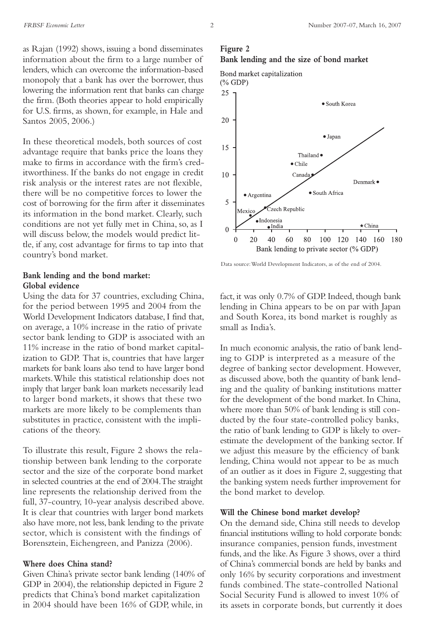as Rajan (1992) shows, issuing a bond disseminates information about the firm to a large number of lenders, which can overcome the information-based monopoly that a bank has over the borrower, thus lowering the information rent that banks can charge the firm. (Both theories appear to hold empirically for U.S. firms, as shown, for example, in Hale and Santos 2005, 2006.)

In these theoretical models, both sources of cost advantage require that banks price the loans they make to firms in accordance with the firm's creditworthiness. If the banks do not engage in credit risk analysis or the interest rates are not flexible, there will be no competitive forces to lower the cost of borrowing for the firm after it disseminates its information in the bond market. Clearly, such conditions are not yet fully met in China, so, as I will discuss below, the models would predict little, if any, cost advantage for firms to tap into that country's bond market.

#### **Bank lending and the bond market: Global evidence**

Using the data for 37 countries, excluding China, for the period between 1995 and 2004 from the World Development Indicators database, I find that, on average, a 10% increase in the ratio of private sector bank lending to GDP is associated with an 11% increase in the ratio of bond market capitalization to GDP. That is, countries that have larger markets for bank loans also tend to have larger bond markets.While this statistical relationship does not imply that larger bank loan markets necessarily lead to larger bond markets, it shows that these two markets are more likely to be complements than substitutes in practice, consistent with the implications of the theory.

To illustrate this result, Figure 2 shows the relationship between bank lending to the corporate sector and the size of the corporate bond market in selected countries at the end of 2004.The straight line represents the relationship derived from the full, 37-country, 10-year analysis described above. It is clear that countries with larger bond markets also have more, not less, bank lending to the private sector, which is consistent with the findings of Borensztein, Eichengreen, and Panizza (2006).

#### **Where does China stand?**

Given China's private sector bank lending (140% of GDP in 2004), the relationship depicted in Figure 2 predicts that China's bond market capitalization in 2004 should have been 16% of GDP, while, in

#### **Figure 2 Bank lending and the size of bond market**



Data source:World Development Indicators, as of the end of 2004.

fact, it was only 0.7% of GDP. Indeed, though bank lending in China appears to be on par with Japan and South Korea, its bond market is roughly as small as India's.

In much economic analysis, the ratio of bank lending to GDP is interpreted as a measure of the degree of banking sector development. However, as discussed above, both the quantity of bank lending and the quality of banking institutions matter for the development of the bond market. In China, where more than 50% of bank lending is still conducted by the four state-controlled policy banks, the ratio of bank lending to GDP is likely to overestimate the development of the banking sector. If we adjust this measure by the efficiency of bank lending, China would not appear to be as much of an outlier as it does in Figure 2, suggesting that the banking system needs further improvement for the bond market to develop.

#### **Will the Chinese bond market develop?**

On the demand side, China still needs to develop financial institutions willing to hold corporate bonds: insurance companies, pension funds, investment funds, and the like. As Figure 3 shows, over a third of China's commercial bonds are held by banks and only 16% by security corporations and investment funds combined.The state-controlled National Social Security Fund is allowed to invest 10% of its assets in corporate bonds, but currently it does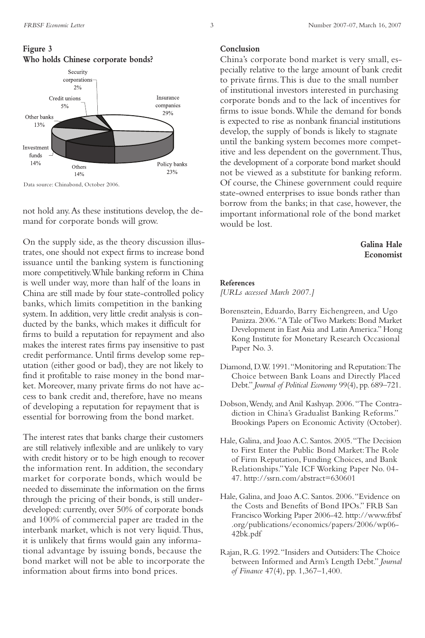

Data source: Chinabond, October 2006.

not hold any.As these institutions develop, the demand for corporate bonds will grow.

On the supply side, as the theory discussion illustrates, one should not expect firms to increase bond issuance until the banking system is functioning more competitively.While banking reform in China is well under way, more than half of the loans in China are still made by four state-controlled policy banks, which limits competition in the banking system. In addition, very little credit analysis is conducted by the banks, which makes it difficult for firms to build a reputation for repayment and also makes the interest rates firms pay insensitive to past credit performance. Until firms develop some reputation (either good or bad), they are not likely to find it profitable to raise money in the bond market. Moreover, many private firms do not have access to bank credit and, therefore, have no means of developing a reputation for repayment that is essential for borrowing from the bond market.

The interest rates that banks charge their customers are still relatively inflexible and are unlikely to vary with credit history or to be high enough to recover the information rent. In addition, the secondary market for corporate bonds, which would be needed to disseminate the information on the firms through the pricing of their bonds, is still underdeveloped: currently, over 50% of corporate bonds and 100% of commercial paper are traded in the interbank market, which is not very liquid.Thus, it is unlikely that firms would gain any informational advantage by issuing bonds, because the bond market will not be able to incorporate the information about firms into bond prices.

#### **Conclusion**

China's corporate bond market is very small, especially relative to the large amount of bank credit to private firms.This is due to the small number of institutional investors interested in purchasing corporate bonds and to the lack of incentives for firms to issue bonds.While the demand for bonds is expected to rise as nonbank financial institutions develop, the supply of bonds is likely to stagnate until the banking system becomes more competitive and less dependent on the government.Thus, the development of a corporate bond market should not be viewed as a substitute for banking reform. Of course, the Chinese government could require state-owned enterprises to issue bonds rather than borrow from the banks; in that case, however, the important informational role of the bond market would be lost.

#### **Galina Hale Economist**

#### **References**

*[URLs accessed March 2007.]*

- Borensztein, Eduardo, Barry Eichengreen, and Ugo Panizza. 2006."A Tale of Two Markets: Bond Market Development in East Asia and Latin America." Hong Kong Institute for Monetary Research Occasional Paper No. 3.
- Diamond, D.W. 1991."Monitoring and Reputation:The Choice between Bank Loans and Directly Placed Debt." *Journal of Political Economy* 99(4), pp. 689–721.
- Dobson,Wendy, and Anil Kashyap. 2006."The Contradiction in China's Gradualist Banking Reforms." Brookings Papers on Economic Activity (October).
- Hale, Galina, and Joao A.C. Santos. 2005."The Decision to First Enter the Public Bond Market:The Role of Firm Reputation, Funding Choices, and Bank Relationships."Yale ICF Working Paper No. 04- 47. http://ssrn.com/abstract=630601
- Hale, Galina, and Joao A.C. Santos. 2006."Evidence on the Costs and Benefits of Bond IPOs." FRB San Francisco Working Paper 2006-42. http://www.frbsf .org/publications/economics/papers/2006/wp06- 42bk.pdf
- Rajan, R.G. 1992."Insiders and Outsiders:The Choice between Informed and Arm's Length Debt." *Journal of Finance* 47(4), pp. 1,367–1,400.